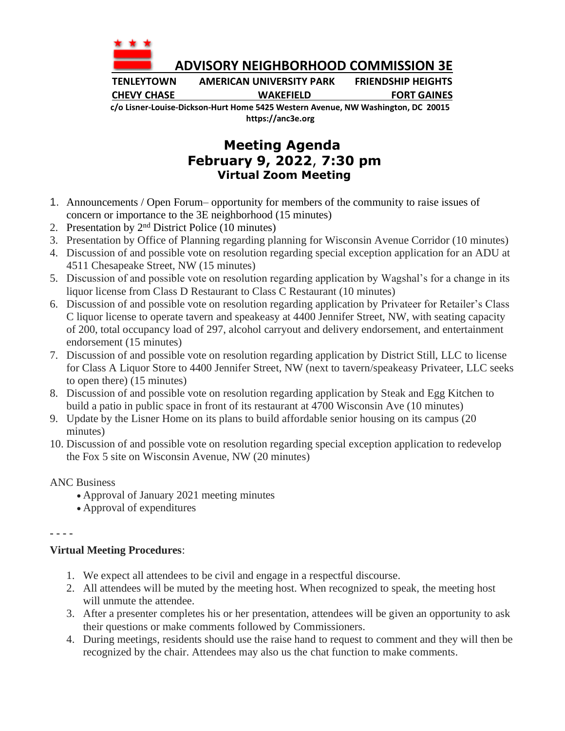

 **ADVISORY NEIGHBORHOOD COMMISSION 3E**

**TENLEYTOWN AMERICAN UNIVERSITY PARK FRIENDSHIP HEIGHTS CHEVY CHASE WAKEFIELD FORT GAINES**

**c/o Lisner-Louise-Dickson-Hurt Home 5425 Western Avenue, NW Washington, DC 20015 https://anc3e.org**

## **Meeting Agenda February 9, 2022**, **7:30 pm Virtual Zoom Meeting**

- 1. Announcements / Open Forum– opportunity for members of the community to raise issues of concern or importance to the 3E neighborhood (15 minutes)
- 2. Presentation by  $2<sup>nd</sup>$  District Police (10 minutes)
- 3. Presentation by Office of Planning regarding planning for Wisconsin Avenue Corridor (10 minutes)
- 4. Discussion of and possible vote on resolution regarding special exception application for an ADU at 4511 Chesapeake Street, NW (15 minutes)
- 5. Discussion of and possible vote on resolution regarding application by Wagshal's for a change in its liquor license from Class D Restaurant to Class C Restaurant (10 minutes)
- 6. Discussion of and possible vote on resolution regarding application by Privateer for Retailer's Class C liquor license to operate tavern and speakeasy at 4400 Jennifer Street, NW, with seating capacity of 200, total occupancy load of 297, alcohol carryout and delivery endorsement, and entertainment endorsement (15 minutes)
- 7. Discussion of and possible vote on resolution regarding application by District Still, LLC to license for Class A Liquor Store to 4400 Jennifer Street, NW (next to tavern/speakeasy Privateer, LLC seeks to open there) (15 minutes)
- 8. Discussion of and possible vote on resolution regarding application by Steak and Egg Kitchen to build a patio in public space in front of its restaurant at 4700 Wisconsin Ave (10 minutes)
- 9. Update by the Lisner Home on its plans to build affordable senior housing on its campus (20 minutes)
- 10. Discussion of and possible vote on resolution regarding special exception application to redevelop the Fox 5 site on Wisconsin Avenue, NW (20 minutes)

## ANC Business

- Approval of January 2021 meeting minutes
- Approval of expenditures

- - - -

## **Virtual Meeting Procedures**:

- 1. We expect all attendees to be civil and engage in a respectful discourse.
- 2. All attendees will be muted by the meeting host. When recognized to speak, the meeting host will unmute the attendee.
- 3. After a presenter completes his or her presentation, attendees will be given an opportunity to ask their questions or make comments followed by Commissioners.
- 4. During meetings, residents should use the raise hand to request to comment and they will then be recognized by the chair. Attendees may also us the chat function to make comments.